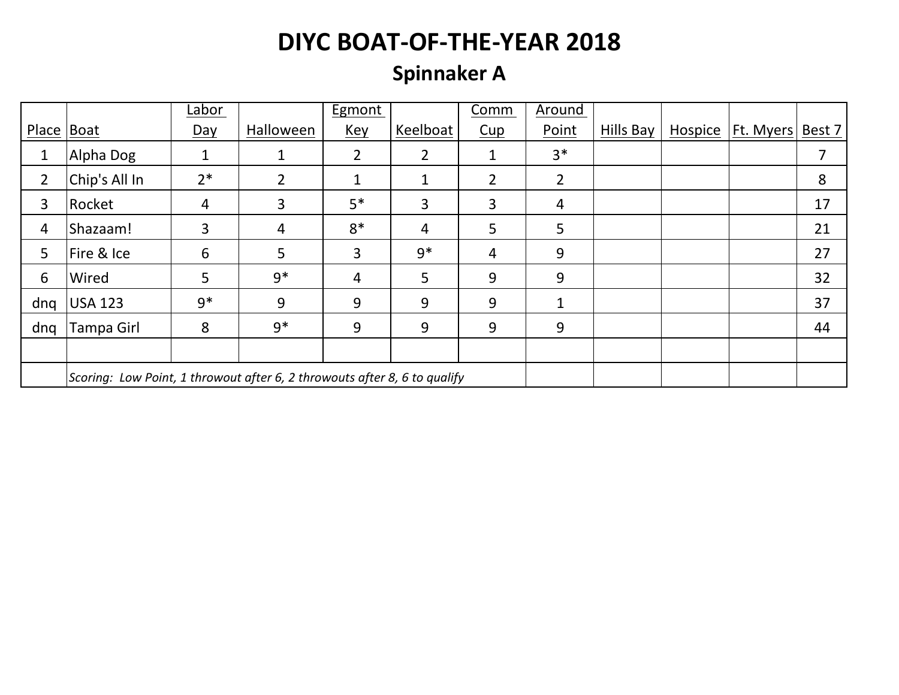### **Spinnaker A**

|              |                                                                           | Labor            |                | <b>Egmont</b>  |                | Comm           | Around         |           |                |           |        |
|--------------|---------------------------------------------------------------------------|------------------|----------------|----------------|----------------|----------------|----------------|-----------|----------------|-----------|--------|
| Place   Boat |                                                                           | $\overline{Day}$ | Halloween      | <u>Key</u>     | Keelboat       | Cup            | Point          | Hills Bay | <b>Hospice</b> | Ft. Myers | Best 7 |
| 1            | Alpha Dog                                                                 | 1                | 1              | $\overline{2}$ | $\overline{2}$ | $\mathbf{1}$   | $3*$           |           |                |           |        |
| 2            | Chip's All In                                                             | $2*$             | $\overline{2}$ | 1              | 1              | $\overline{2}$ | $\overline{2}$ |           |                |           | 8      |
| 3            | Rocket                                                                    | 4                | 3              | $5*$           | 3              | 3              | 4              |           |                |           | 17     |
| 4            | Shazaam!                                                                  | 3                | 4              | $8*$           | 4              | 5              | 5              |           |                |           | 21     |
| 5            | Fire & Ice                                                                | 6                | 5              | 3              | $9*$           | $\overline{4}$ | 9              |           |                |           | 27     |
| 6            | Wired                                                                     | 5                | $9*$           | 4              | 5              | 9              | 9              |           |                |           | 32     |
| dng          | <b>USA 123</b>                                                            | $9*$             | 9              | 9              | 9              | 9              | 1              |           |                |           | 37     |
| dnq          | Tampa Girl                                                                | 8                | $9*$           | 9              | 9              | 9              | 9              |           |                |           | 44     |
|              |                                                                           |                  |                |                |                |                |                |           |                |           |        |
|              | Scoring: Low Point, 1 throwout after 6, 2 throwouts after 8, 6 to qualify |                  |                |                |                |                |                |           |                |           |        |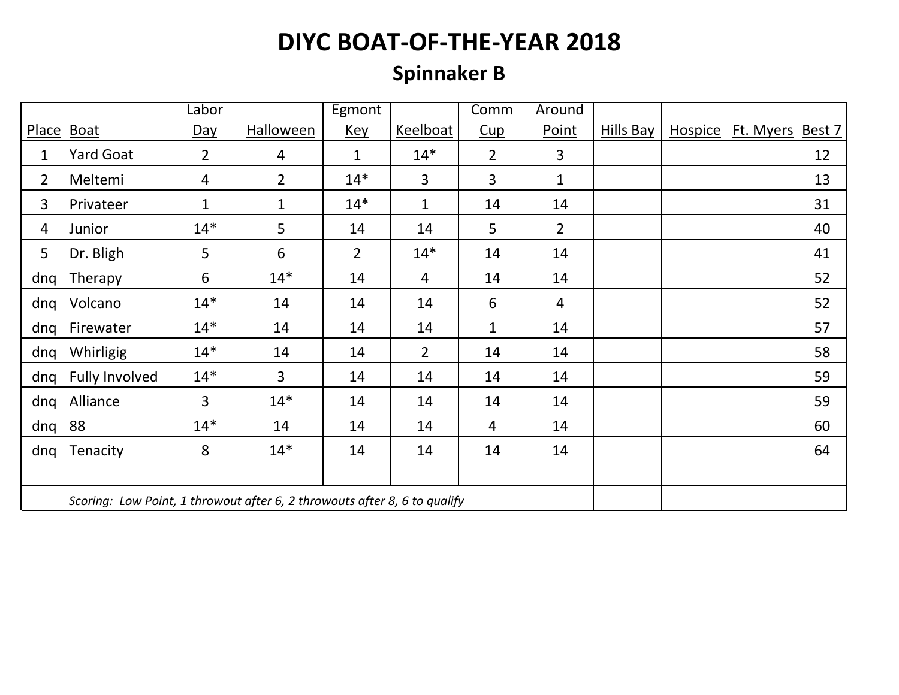### **Spinnaker B**

|                |                                                                           | Labor          |                  | <b>Egmont</b>  |                | <b>Comm</b>    | Around         |           |                     |        |
|----------------|---------------------------------------------------------------------------|----------------|------------------|----------------|----------------|----------------|----------------|-----------|---------------------|--------|
| Place Boat     |                                                                           | <u>Day</u>     | <b>Halloween</b> | <u>Key</u>     | Keelboat       | Cup            | Point          | Hills Bay | Hospice   Ft. Myers | Best 7 |
| 1              | Yard Goat                                                                 | $\overline{2}$ | 4                | $\mathbf 1$    | $14*$          | $\overline{2}$ | $\overline{3}$ |           |                     | 12     |
| $\overline{2}$ | Meltemi                                                                   | $\overline{4}$ | $\overline{2}$   | $14*$          | $\overline{3}$ | 3              | $\mathbf{1}$   |           |                     | 13     |
| 3              | Privateer                                                                 | $\mathbf{1}$   | $\mathbf{1}$     | $14*$          | $\mathbf{1}$   | 14             | 14             |           |                     | 31     |
| 4              | Junior                                                                    | $14*$          | 5                | 14             | 14             | 5              | $\overline{2}$ |           |                     | 40     |
| 5              | Dr. Bligh                                                                 | 5              | 6                | $\overline{2}$ | $14*$          | 14             | 14             |           |                     | 41     |
| dnq            | Therapy                                                                   | 6              | $14*$            | 14             | $\overline{4}$ | 14             | 14             |           |                     | 52     |
| dnq            | Volcano                                                                   | $14*$          | 14               | 14             | 14             | 6              | $\overline{4}$ |           |                     | 52     |
| dnq            | Firewater                                                                 | $14*$          | 14               | 14             | 14             | $\mathbf{1}$   | 14             |           |                     | 57     |
| dng            | Whirligig                                                                 | $14*$          | 14               | 14             | $\overline{2}$ | 14             | 14             |           |                     | 58     |
| dnq            | <b>Fully Involved</b>                                                     | $14*$          | $\overline{3}$   | 14             | 14             | 14             | 14             |           |                     | 59     |
| dnq            | Alliance                                                                  | $\overline{3}$ | $14*$            | 14             | 14             | 14             | 14             |           |                     | 59     |
| dnq            | 88                                                                        | $14*$          | 14               | 14             | 14             | 4              | 14             |           |                     | 60     |
| dnq            | Tenacity                                                                  | 8              | $14*$            | 14             | 14             | 14             | 14             |           |                     | 64     |
|                |                                                                           |                |                  |                |                |                |                |           |                     |        |
|                | Scoring: Low Point, 1 throwout after 6, 2 throwouts after 8, 6 to qualify |                |                  |                |                |                |                |           |                     |        |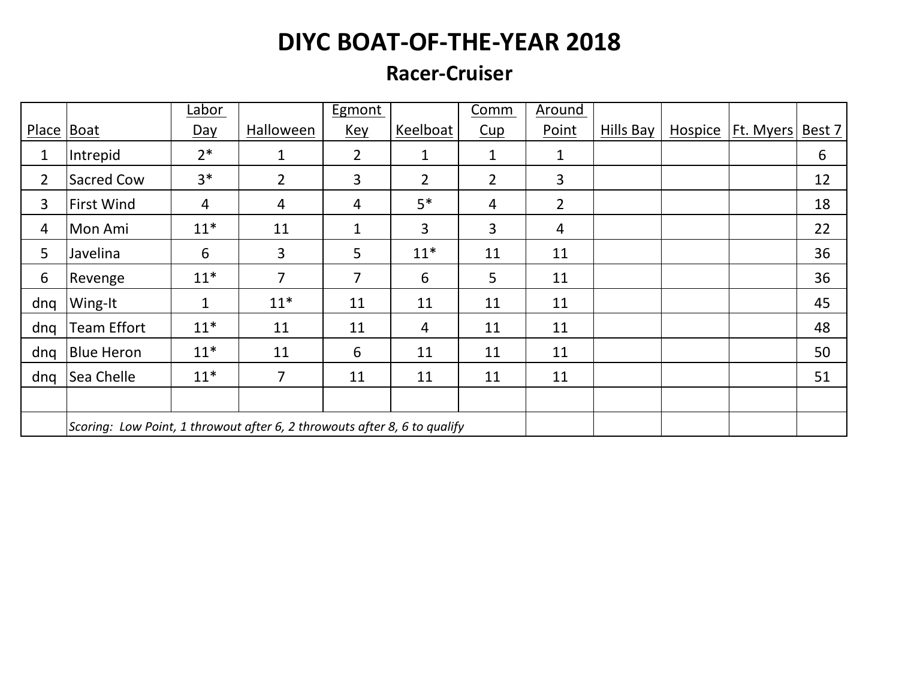#### **Racer-Cruiser**

|                |                                                                           | Labor |                | Egmont         |                | Comm           | Around         |           |         |                  |        |
|----------------|---------------------------------------------------------------------------|-------|----------------|----------------|----------------|----------------|----------------|-----------|---------|------------------|--------|
| Place   Boat   |                                                                           | Day   | Halloween      | <b>Key</b>     | Keelboat       | Cup            | Point          | Hills Bay | Hospice | <b>Ft. Myers</b> | Best 7 |
| 1              | Intrepid                                                                  | $2*$  | $\mathbf{1}$   | $\overline{2}$ | 1              | 1              | 1              |           |         |                  | 6      |
| $\overline{2}$ | Sacred Cow                                                                | $3*$  | $\overline{2}$ | 3              | $\overline{2}$ | $\overline{2}$ | $\overline{3}$ |           |         |                  | 12     |
| 3              | <b>First Wind</b>                                                         | 4     | 4              | 4              | $5*$           | $\overline{4}$ | $\overline{2}$ |           |         |                  | 18     |
| $\overline{4}$ | Mon Ami                                                                   | $11*$ | 11             | $\mathbf{1}$   | 3              | 3              | $\overline{4}$ |           |         |                  | 22     |
| 5              | Javelina                                                                  | 6     | 3              | 5              | $11*$          | 11             | 11             |           |         |                  | 36     |
| 6              | Revenge                                                                   | $11*$ | $\overline{7}$ | 7              | 6              | $5\phantom{.}$ | 11             |           |         |                  | 36     |
| dng            | Wing-It                                                                   | 1     | $11*$          | 11             | 11             | 11             | 11             |           |         |                  | 45     |
| dnq            | <b>Team Effort</b>                                                        | $11*$ | 11             | 11             | 4              | 11             | 11             |           |         |                  | 48     |
| dnq            | <b>Blue Heron</b>                                                         | $11*$ | 11             | 6              | 11             | 11             | 11             |           |         |                  | 50     |
| dng            | Sea Chelle                                                                | $11*$ | 7              | 11             | 11             | 11             | 11             |           |         |                  | 51     |
|                |                                                                           |       |                |                |                |                |                |           |         |                  |        |
|                | Scoring: Low Point, 1 throwout after 6, 2 throwouts after 8, 6 to qualify |       |                |                |                |                |                |           |         |                  |        |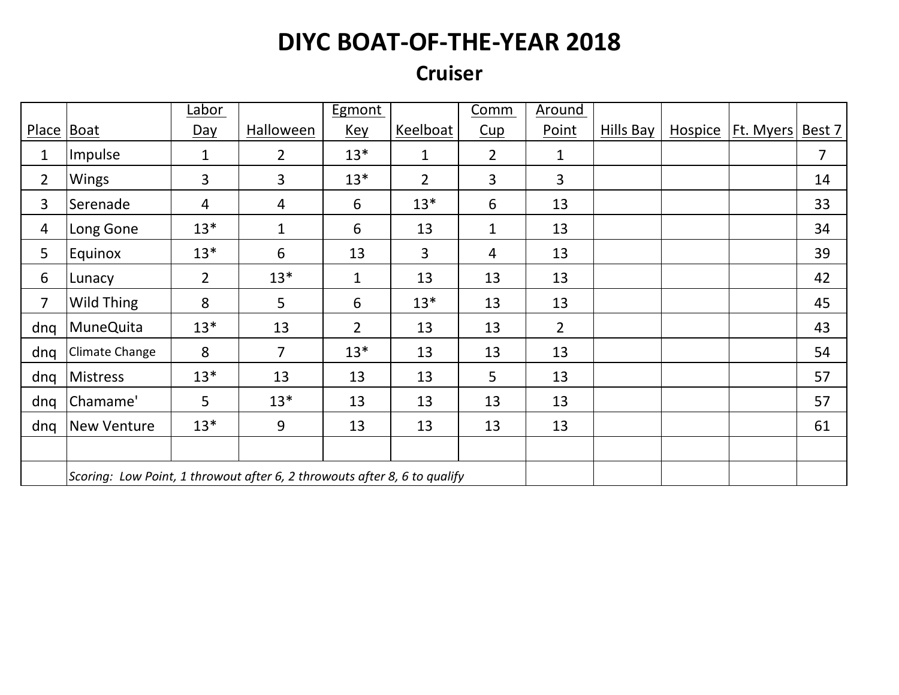#### **Cruiser**

|                |                                                                           | <u>Labor</u>   |                | <b>Egmont</b>  |                | Comm           | Around         |           |                     |        |
|----------------|---------------------------------------------------------------------------|----------------|----------------|----------------|----------------|----------------|----------------|-----------|---------------------|--------|
| Place   Boat   |                                                                           | <u>Day</u>     | Halloween      | <u>Key</u>     | Keelboat       | Cup            | Point          | Hills Bay | Hospice   Ft. Myers | Best 7 |
| 1              | Impulse                                                                   | 1              | $\overline{2}$ | $13*$          | $\mathbf{1}$   | $\overline{2}$ | 1              |           |                     | 7      |
| $\overline{2}$ | <b>Wings</b>                                                              | $\overline{3}$ | $\overline{3}$ | $13*$          | $\overline{2}$ | 3              | $\overline{3}$ |           |                     | 14     |
| 3              | Serenade                                                                  | $\overline{4}$ | 4              | 6              | $13*$          | 6              | 13             |           |                     | 33     |
| $\overline{4}$ | Long Gone                                                                 | $13*$          | $\mathbf{1}$   | 6              | 13             | $\mathbf{1}$   | 13             |           |                     | 34     |
| 5              | Equinox                                                                   | $13*$          | 6              | 13             | 3              | 4              | 13             |           |                     | 39     |
| 6              | Lunacy                                                                    | $\overline{2}$ | $13*$          | $\mathbf{1}$   | 13             | 13             | 13             |           |                     | 42     |
| $\overline{7}$ | Wild Thing                                                                | 8              | 5 <sub>1</sub> | 6              | $13*$          | 13             | 13             |           |                     | 45     |
| dnq            | <b>MuneQuita</b>                                                          | $13*$          | 13             | $\overline{2}$ | 13             | 13             | $\overline{2}$ |           |                     | 43     |
| dnq            | Climate Change                                                            | 8              | $\overline{7}$ | $13*$          | 13             | 13             | 13             |           |                     | 54     |
| dng            | <b>Mistress</b>                                                           | $13*$          | 13             | 13             | 13             | 5              | 13             |           |                     | 57     |
| dnq            | Chamame'                                                                  | 5              | $13*$          | 13             | 13             | 13             | 13             |           |                     | 57     |
| dng            | <b>New Venture</b>                                                        | $13*$          | 9              | 13             | 13             | 13             | 13             |           |                     | 61     |
|                |                                                                           |                |                |                |                |                |                |           |                     |        |
|                | Scoring: Low Point, 1 throwout after 6, 2 throwouts after 8, 6 to qualify |                |                |                |                |                |                |           |                     |        |